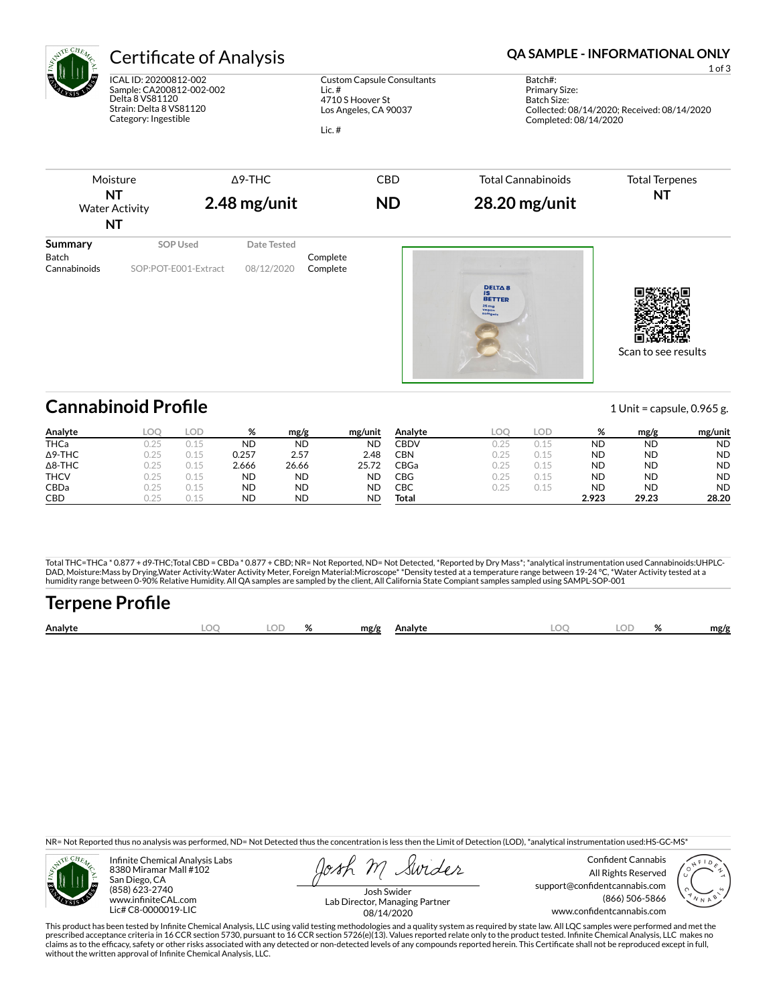

ICAL ID: 20200812-002 Sample: CA200812-002-002 Delta 8 VS81120 Strain: Delta 8 VS81120 Category: Ingestible

Custom Capsule Consultants Lic. # 4710 S Hoover St Los Angeles, CA 90037

Lic. #

# Certificate of Analysis **Certificate of Analysis QA SAMPLE - INFORMATIONAL ONLY**

1 of 3

Batch#: Primary Size: Batch Size: Collected: 08/14/2020; Received: 08/14/2020 Completed: 08/14/2020



| Analyte        | LOO  | LOD  | %     | mg/g      | mg/unit   | Analyte     | LOO  | LOD  | %         | mg/g      | mg/unit   |
|----------------|------|------|-------|-----------|-----------|-------------|------|------|-----------|-----------|-----------|
| <b>THCa</b>    | 0.25 |      | ND    | <b>ND</b> | <b>ND</b> | <b>CBDV</b> | 0.25 |      | ND        | <b>ND</b> | <b>ND</b> |
| $\Delta$ 9-THC | 0.25 | 0.15 | 0.257 | 2.57      | 2.48      | CBN         | 0.25 |      | ND        | <b>ND</b> | <b>ND</b> |
| $\Delta$ 8-THC | 0.25 | 0.15 | 2.666 | 26.66     | 25.72     | CBGa        | 0.25 | 0.15 | ND        | <b>ND</b> | <b>ND</b> |
| <b>THCV</b>    | 0.25 | 0.15 | ND    | <b>ND</b> | <b>ND</b> | CBG         | 0.25 | 0.15 | <b>ND</b> | <b>ND</b> | <b>ND</b> |
| CBDa           | 0.25 | 0.15 | ND    | ND        | <b>ND</b> | СВС         | 0.25 |      | ND        | <b>ND</b> | <b>ND</b> |
| <b>CBD</b>     | 725  |      | ND    | <b>ND</b> | <b>ND</b> | Total       |      |      | 2.923     | 29.23     | 28.20     |

Total THC=THCa \* 0.877 + d9-THC;Total CBD = CBDa \* 0.877 + CBD; NR= Not Reported, ND= Not Detected, \*Reported by Dry Mass\*; \*analytical instrumentation used Cannabinoids:UHPLC-DAD, Moisture:Mass by Drying,Water Activity:Water Activity Meter, Foreign Material:Microscope\* \*Density tested at a temperature range between 19-24 °C, \*Water Activity tested at a<br>humidity range between 0-90% Relative Humi

# **Terpene Profile**

| Analyte | LOC. | $\cap$ | $\mathbf{a}$<br>$\mathbf{z}$ | mg/g | Analvte | $\sim$<br>$-1$ | $\sim$ | mg/p |
|---------|------|--------|------------------------------|------|---------|----------------|--------|------|
|         |      |        |                              |      |         |                |        |      |

NR= Not Reported thus no analysis was performed, ND= Not Detected thus the concentration is less then the Limit of Detection (LOD), \*analytical instrumentation used:HS-GC-MS\*



Infinite Chemical Analysis Labs 8380 Miramar Mall #102 San Diego, CA (858) 623-2740 www.infiniteCAL.com Lic# C8-0000019-LIC

Swider

Confident Cannabis All Rights Reserved support@confidentcannabis.com (866) 506-5866 www.confidentcannabis.com



Josh Swider Lab Director, Managing Partner 08/14/2020

This product has been tested by Infinite Chemical Analysis, LLC using valid testing methodologies and a quality system as required by state law. All LQC samples were performed and met the prescribed acceptance criteria in 16 CCR section 5730, pursuant to 16 CCR section 5726(e)(13). Values reported relate only to the product tested. Infinite Chemical Analysis, LLC makes no<br>claims as to the efficacy, safety o without the written approval of Infinite Chemical Analysis, LLC.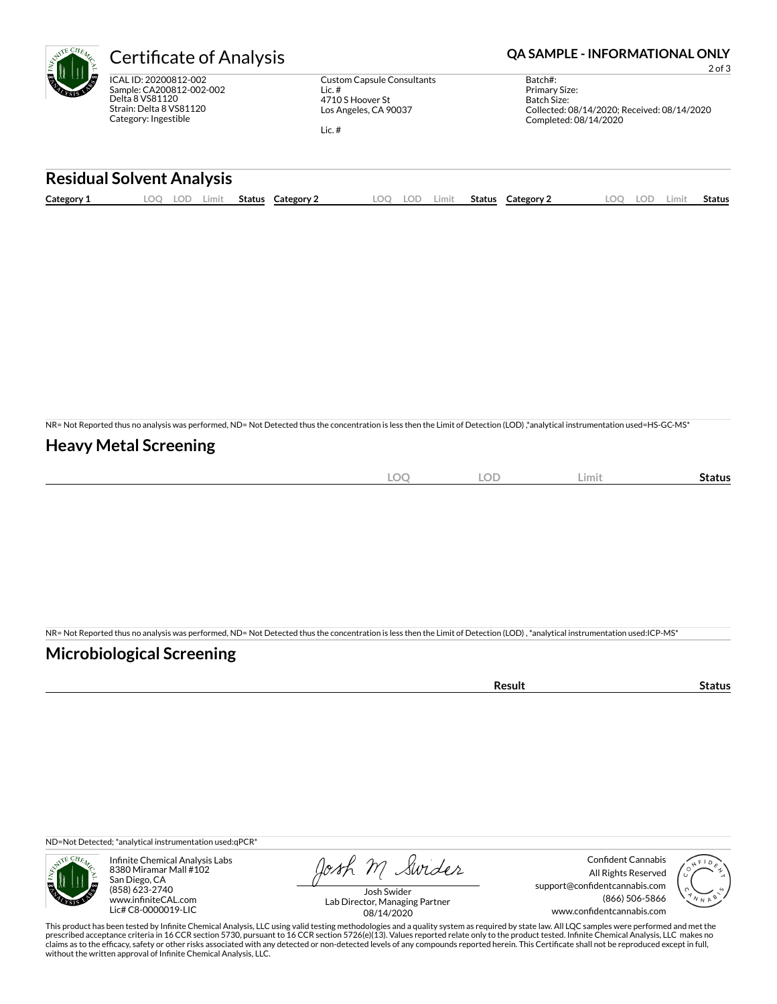ICAL ID: 20200812-002 Sample: CA200812-002-002 Delta 8 VS81120 Strain: Delta 8 VS81120 Category: Ingestible

Custom Capsule Consultants Lic. # 4710 S Hoover St Los Angeles, CA 90037

Lic. #

## Certificate of Analysis **Certificate of Analysis QA SAMPLE - INFORMATIONAL ONLY**

2 of 3

Batch#: Primary Size: Batch Size: Collected: 08/14/2020; Received: 08/14/2020 Completed: 08/14/2020

### **Residual Solvent Analysis**

| $\sim$<br>Category: | OC | LOP. | .imit | Status | Category | nn | LOF. | Limit | Status | Category $\angle$ | LOD. | -imi* | Status |
|---------------------|----|------|-------|--------|----------|----|------|-------|--------|-------------------|------|-------|--------|
|                     |    |      |       |        |          |    |      |       |        |                   |      |       |        |

NR= Not Reported thus no analysis was performed, ND= Not Detected thus the concentration is less then the Limit of Detection (LOD) ,\*analytical instrumentation used=HS-GC-MS\*

### **Heavy Metal Screening**

| $\sim$<br>λC<br>$-$<br>$\sim$ | OF<br>∽<br>$\overline{\phantom{a}}$ | Limit | status |
|-------------------------------|-------------------------------------|-------|--------|
|                               |                                     |       |        |

NR= Not Reported thus no analysis was performed, ND= Not Detected thus the concentration is less then the Limit of Detection (LOD) , \*analytical instrumentation used:ICP-MS\*

### **Microbiological Screening**

| −∍uı⊾<br>. |  |
|------------|--|

ND=Not Detected; \*analytical instrumentation used:qPCR\*



Infinite Chemical Analysis Labs 8380 Miramar Mall #102 San Diego, CA (858) 623-2740 www.infiniteCAL.com Lic# C8-0000019-LIC

Josh M Swider

Confident Cannabis All Rights Reserved support@confidentcannabis.com (866) 506-5866 www.confidentcannabis.com



Josh Swider Lab Director, Managing Partner 08/14/2020

This product has been tested by Infinite Chemical Analysis, LLC using valid testing methodologies and a quality system as required by state law. All LQC samples were performed and met the<br>prescribed acceptance criteria in without the written approval of Infinite Chemical Analysis, LLC.